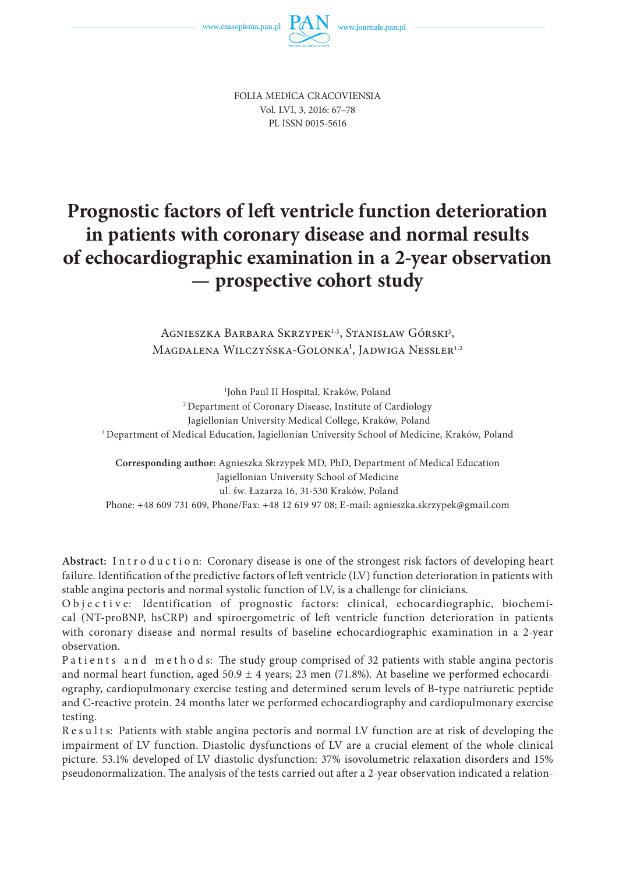

FOLIA MEDICA CRACOVIENSIA Vol. LVI, 3, 2016: 67–78 PL ISSN 0015-5616

# **Prognostic factors of left ventricle function deterioration in patients with coronary disease and normal results of echocardiographic examination in a 2-year observation — prospective cohort study**

Agnieszka Barbara Skrzypek<sup>1,3</sup>, Stanisław Górski<sup>3</sup>, Magdalena Wilczyńska-Golonka<sup>1</sup>, Jadwiga Nessler<sup>1,2</sup>

1 John Paul II Hospital, Kraków, Poland 2 Department of Coronary Disease, Institute of Cardiology Jagiellonian University Medical College, Kraków, Poland <sup>3</sup> Department of Medical Education, Jagiellonian University School of Medicine, Kraków, Poland

**Corresponding author:** Agnieszka Skrzypek MD, PhD, Department of Medical Education Jagiellonian University School of Medicine ul. św. Łazarza 16, 31-530 Kraków, Poland Phone: +48 609 731 609, Phone/Fax: +48 12 619 97 08; E-mail: agnieszka.skrzypek@gmail.com

Abstract: Introduction: Coronary disease is one of the strongest risk factors of developing heart failure. Identification of the predictive factors of left ventricle (LV) function deterioration in patients with stable angina pectoris and normal systolic function of LV, is a challenge for clinicians.

O b j e c t i v e: Identification of prognostic factors: clinical, echocardiographic, biochemical (NT-proBNP, hsCRP) and spiroergometric of left ventricle function deterioration in patients with coronary disease and normal results of baseline echocardiographic examination in a 2-year observation.

Patients and methods: The study group comprised of 32 patients with stable angina pectoris and normal heart function, aged  $50.9 \pm 4$  years; 23 men (71.8%). At baseline we performed echocardiography, cardiopulmonary exercise testing and determined serum levels of B-type natriuretic peptide and C-reactive protein. 24 months later we performed echocardiography and cardiopulmonary exercise testing.

Results: Patients with stable angina pectoris and normal LV function are at risk of developing the impairment of LV function. Diastolic dysfunctions of LV are a crucial element of the whole clinical picture. 53.1% developed of LV diastolic dysfunction: 37% isovolumetric relaxation disorders and 15% pseudonormalization. The analysis of the tests carried out after a 2-year observation indicated a relation-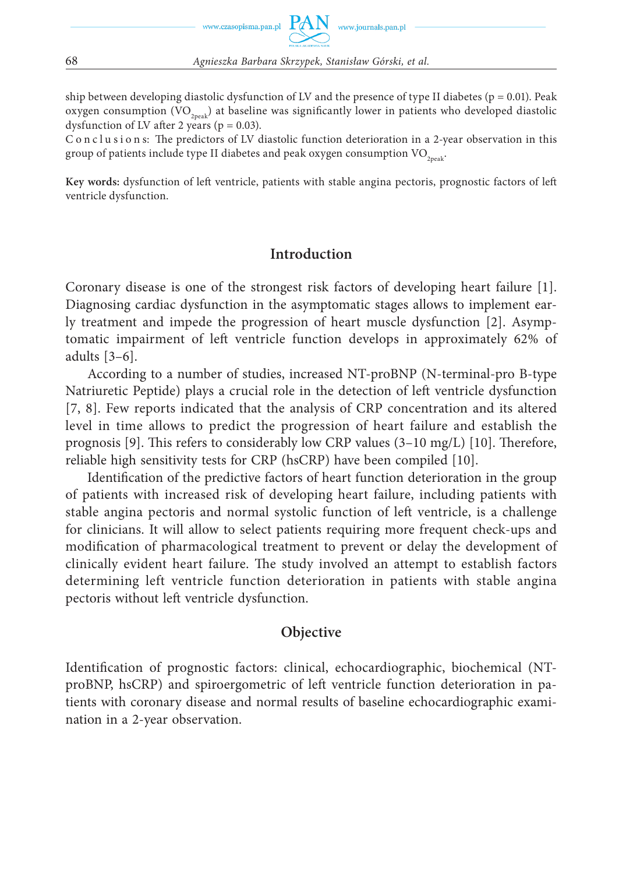

ship between developing diastolic dysfunction of LV and the presence of type II diabetes ( $p = 0.01$ ). Peak oxygen consumption  $(VO_{2p,est})$  at baseline was significantly lower in patients who developed diastolic dysfunction of LV after 2 years ( $p = 0.03$ ).

C o n c l u s i o n s: The predictors of LV diastolic function deterioration in a 2-year observation in this group of patients include type II diabetes and peak oxygen consumption  $VO_{2neak}$ .

**Key words:** dysfunction of left ventricle, patients with stable angina pectoris, prognostic factors of left ventricle dysfunction.

## **Introduction**

Coronary disease is one of the strongest risk factors of developing heart failure [1]. Diagnosing cardiac dysfunction in the asymptomatic stages allows to implement early treatment and impede the progression of heart muscle dysfunction [2]. Asymptomatic impairment of left ventricle function develops in approximately 62% of adults [3–6].

According to a number of studies, increased NT-proBNP (N-terminal-pro B-type Natriuretic Peptide) plays a crucial role in the detection of left ventricle dysfunction [7, 8]. Few reports indicated that the analysis of CRP concentration and its altered level in time allows to predict the progression of heart failure and establish the prognosis [9]. This refers to considerably low CRP values  $(3-10 \text{ mg/L})$  [10]. Therefore, reliable high sensitivity tests for CRP (hsCRP) have been compiled [10].

Identification of the predictive factors of heart function deterioration in the group of patients with increased risk of developing heart failure, including patients with stable angina pectoris and normal systolic function of left ventricle, is a challenge for clinicians. It will allow to select patients requiring more frequent check-ups and modification of pharmacological treatment to prevent or delay the development of clinically evident heart failure. The study involved an attempt to establish factors determining left ventricle function deterioration in patients with stable angina pectoris without left ventricle dysfunction.

#### **Objective**

Identification of prognostic factors: clinical, echocardiographic, biochemical (NTproBNP, hsCRP) and spiroergometric of left ventricle function deterioration in patients with coronary disease and normal results of baseline echocardiographic examination in a 2-year observation.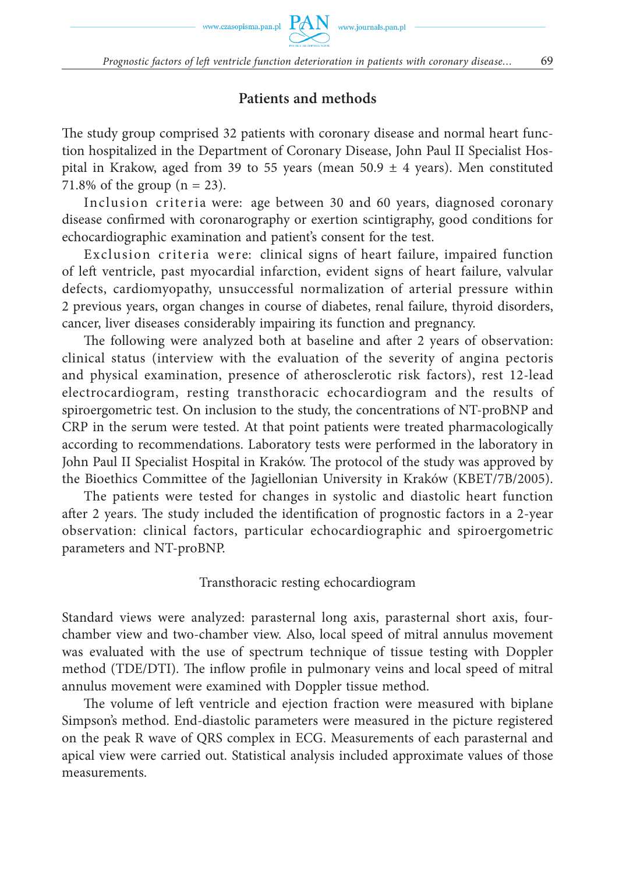www.czasopisma.pan.pl  $\hbox{ PAN }\,$  www.journals.pan.pl

# **Patients and methods**

The study group comprised 32 patients with coronary disease and normal heart function hospitalized in the Department of Coronary Disease, John Paul II Specialist Hospital in Krakow, aged from 39 to 55 years (mean 50.9  $\pm$  4 years). Men constituted 71.8% of the group  $(n = 23)$ .

Inclusion criteria were: age between 30 and 60 years, diagnosed coronary disease confirmed with coronarography or exertion scintigraphy, good conditions for echocardiographic examination and patient's consent for the test.

Exclusion criteria were: clinical signs of heart failure, impaired function of left ventricle, past myocardial infarction, evident signs of heart failure, valvular defects, cardiomyopathy, unsuccessful normalization of arterial pressure within 2 previous years, organ changes in course of diabetes, renal failure, thyroid disorders, cancer, liver diseases considerably impairing its function and pregnancy.

The following were analyzed both at baseline and after 2 years of observation: clinical status (interview with the evaluation of the severity of angina pectoris and physical examination, presence of atherosclerotic risk factors), rest 12-lead electrocardiogram, resting transthoracic echocardiogram and the results of spiroergometric test. On inclusion to the study, the concentrations of NT-proBNP and CRP in the serum were tested. At that point patients were treated pharmacologically according to recommendations. Laboratory tests were performed in the laboratory in John Paul II Specialist Hospital in Kraków. The protocol of the study was approved by the Bioethics Committee of the Jagiellonian University in Kraków (KBET/7B/2005).

The patients were tested for changes in systolic and diastolic heart function after 2 years. The study included the identification of prognostic factors in a 2-year observation: clinical factors, particular echocardiographic and spiroergometric parameters and NT-proBNP.

## Transthoracic resting echocardiogram

Standard views were analyzed: parasternal long axis, parasternal short axis, fourchamber view and two-chamber view. Also, local speed of mitral annulus movement was evaluated with the use of spectrum technique of tissue testing with Doppler method (TDE/DTI). The inflow profile in pulmonary veins and local speed of mitral annulus movement were examined with Doppler tissue method.

The volume of left ventricle and ejection fraction were measured with biplane Simpson's method. End-diastolic parameters were measured in the picture registered on the peak R wave of QRS complex in ECG. Measurements of each parasternal and apical view were carried out. Statistical analysis included approximate values of those measurements.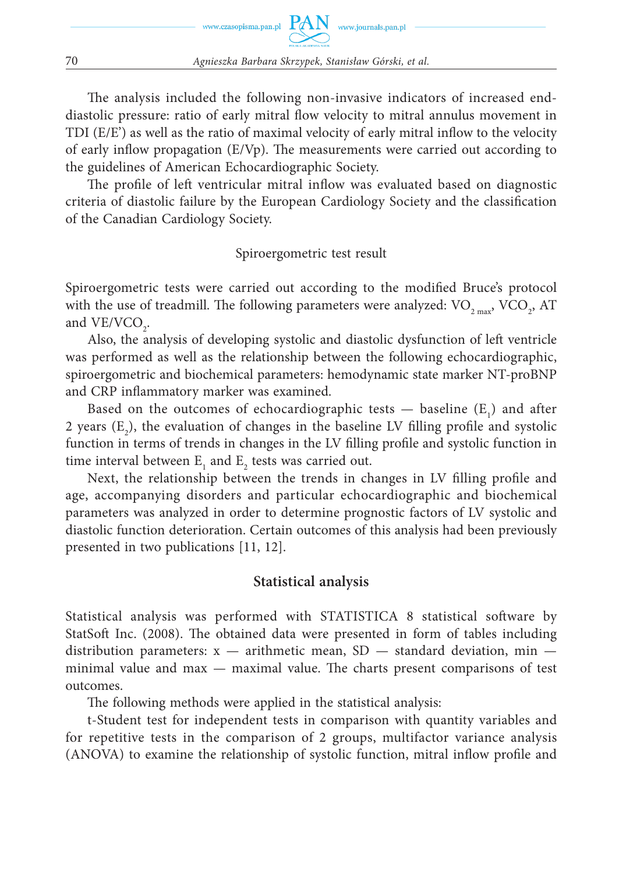The analysis included the following non-invasive indicators of increased enddiastolic pressure: ratio of early mitral flow velocity to mitral annulus movement in TDI (E/E') as well as the ratio of maximal velocity of early mitral inflow to the velocity of early inflow propagation  $(E/Vp)$ . The measurements were carried out according to the guidelines of American Echocardiographic Society.

The profile of left ventricular mitral inflow was evaluated based on diagnostic criteria of diastolic failure by the European Cardiology Society and the classification of the Canadian Cardiology Society.

Spiroergometric test result

Spiroergometric tests were carried out according to the modified Bruce's protocol with the use of treadmill. The following parameters were analyzed:  $\rm VO_{_{2\,max}}$ ,  $\rm VCO_{_{2}},$   $\rm AT$ and  $VE/VCO<sub>2</sub>$ .

Also, the analysis of developing systolic and diastolic dysfunction of left ventricle was performed as well as the relationship between the following echocardiographic, spiroergometric and biochemical parameters: hemodynamic state marker NT-proBNP and CRP inflammatory marker was examined.

Based on the outcomes of echocardiographic tests  $-$  baseline  $(E_1)$  and after 2 years  $(E_2)$ , the evaluation of changes in the baseline LV filling profile and systolic function in terms of trends in changes in the LV filling profile and systolic function in time interval between  $\mathbf{E}_{1}$  and  $\mathbf{E}_{2}$  tests was carried out.

Next, the relationship between the trends in changes in LV filling profile and age, accompanying disorders and particular echocardiographic and biochemical parameters was analyzed in order to determine prognostic factors of LV systolic and diastolic function deterioration. Certain outcomes of this analysis had been previously presented in two publications [11, 12].

# **Statistical analysis**

Statistical analysis was performed with STATISTICA 8 statistical software by StatSoft Inc. (2008). The obtained data were presented in form of tables including distribution parameters:  $x -$  arithmetic mean, SD  $-$  standard deviation, min  $$ minimal value and  $max -$  maximal value. The charts present comparisons of test outcomes.

The following methods were applied in the statistical analysis:

t-Student test for independent tests in comparison with quantity variables and for repetitive tests in the comparison of 2 groups, multifactor variance analysis (ANOVA) to examine the relationship of systolic function, mitral inflow profile and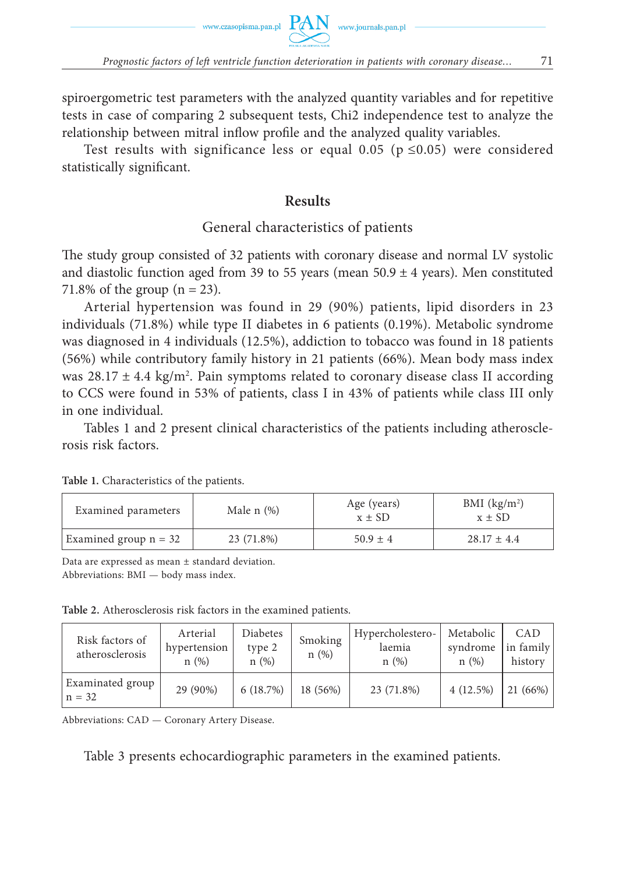spiroergometric test parameters with the analyzed quantity variables and for repetitive tests in case of comparing 2 subsequent tests, Chi2 independence test to analyze the relationship between mitral inflow profile and the analyzed quality variables.

Test results with significance less or equal 0.05 ( $p \le 0.05$ ) were considered statistically significant.

## **Results**

## General characteristics of patients

The study group consisted of 32 patients with coronary disease and normal LV systolic and diastolic function aged from 39 to 55 years (mean  $50.9 \pm 4$  years). Men constituted 71.8% of the group  $(n = 23)$ .

Arterial hypertension was found in 29 (90%) patients, lipid disorders in 23 individuals (71.8%) while type II diabetes in 6 patients (0.19%). Metabolic syndrome was diagnosed in 4 individuals (12.5%), addiction to tobacco was found in 18 patients (56%) while contributory family history in 21 patients (66%). Mean body mass index was  $28.17 \pm 4.4$  kg/m<sup>2</sup>. Pain symptoms related to coronary disease class II according to CCS were found in 53% of patients, class I in 43% of patients while class III only in one individual.

Tables 1 and 2 present clinical characteristics of the patients including atherosclerosis risk factors.

| Examined parameters     | Male $n$ $(\%)$ | Age (years)<br>$x \pm SD$ | BMI $(kg/m2)$<br>$x \pm SD$ |
|-------------------------|-----------------|---------------------------|-----------------------------|
| Examined group $n = 32$ | 23 (71.8%)      | $50.9 \pm 4$              | $28.17 \pm 4.4$             |

**Table 1.** Characteristics of the patients.

Data are expressed as mean ± standard deviation. Abbreviations: BMI — body mass index.

**Table 2.** Atherosclerosis risk factors in the examined patients.

| Risk factors of<br>atherosclerosis | Arterial<br>hypertension<br>n(%) | Diabetes<br>type 2<br>n(%) | Smoking<br>n(%) | Hypercholestero-<br>laemia<br>n(%) | Metabolic<br>syndrome<br>n(%) | CAD<br>in family<br>history |
|------------------------------------|----------------------------------|----------------------------|-----------------|------------------------------------|-------------------------------|-----------------------------|
| Examinated group<br>$n = 32$       | 29 (90%)                         | 6(18.7%)                   | 18 (56%)        | 23 (71.8%)                         | 4(12.5%)                      | 21 (66%)                    |

Abbreviations: CAD — Coronary Artery Disease.

Table 3 presents echocardiographic parameters in the examined patients.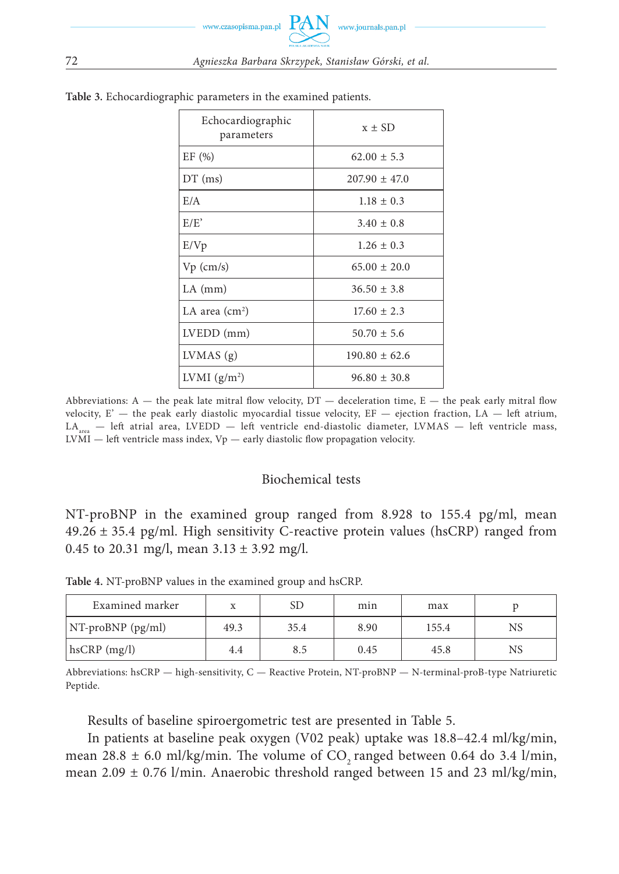| Echocardiographic<br>parameters | $x \pm SD$        |
|---------------------------------|-------------------|
| EF(%)                           | $62.00 \pm 5.3$   |
| $DT$ (ms)                       | $207.90 \pm 47.0$ |
| E/A                             | $1.18 \pm 0.3$    |
| E/E'                            | $3.40 \pm 0.8$    |
| E/Vp                            | $1.26 \pm 0.3$    |
| $Vp$ (cm/s)                     | $65.00 \pm 20.0$  |
| $LA$ (mm)                       | $36.50 \pm 3.8$   |
| LA area $\text{(cm)}^2$         | $17.60 \pm 2.3$   |
| LVEDD (mm)                      | $50.70 \pm 5.6$   |
| LVMAS(g)                        | $190.80 \pm 62.6$ |
| LVMI $(g/m^2)$                  | $96.80 \pm 30.8$  |

**Table 3.** Echocardiographic parameters in the examined patients.

Abbreviations: A — the peak late mitral flow velocity,  $DT$  — deceleration time, E — the peak early mitral flow velocity, E'  $-$  the peak early diastolic myocardial tissue velocity, EF  $-$  ejection fraction, LA  $-$  left atrium,  $LA_{area}$  — left atrial area, LVEDD — left ventricle end-diastolic diameter, LVMAS — left ventricle mass,  $LVMI$  — left ventricle mass index,  $Vp$  — early diastolic flow propagation velocity.

#### Biochemical tests

NT-proBNP in the examined group ranged from 8.928 to 155.4 pg/ml, mean 49.26 ± 35.4 pg/ml. High sensitivity C-reactive protein values (hsCRP) ranged from 0.45 to 20.31 mg/l, mean  $3.13 \pm 3.92$  mg/l.

**Table 4.** NT-proBNP values in the examined group and hsCRP.

| Examined marker         |      | SD   | min  | max   |    |
|-------------------------|------|------|------|-------|----|
| $N$ -proBNP (pg/ml)     | 49.3 | 35.4 | 8.90 | 155.4 | NS |
| $ \text{hsCRP (mg/l)} $ | 4.4  | 8.5  | 0.45 | 45.8  | NS |

Abbreviations: hsCRP — high-sensitivity, C — Reactive Protein, NT-proBNP — N-terminal-proB-type Natriuretic Peptide.

Results of baseline spiroergometric test are presented in Table 5.

In patients at baseline peak oxygen (V02 peak) uptake was 18.8–42.4 ml/kg/min, mean 28.8  $\pm$  6.0 ml/kg/min. The volume of CO<sub>2</sub> ranged between 0.64 do 3.4 l/min, mean 2.09  $\pm$  0.76 l/min. Anaerobic threshold ranged between 15 and 23 ml/kg/min,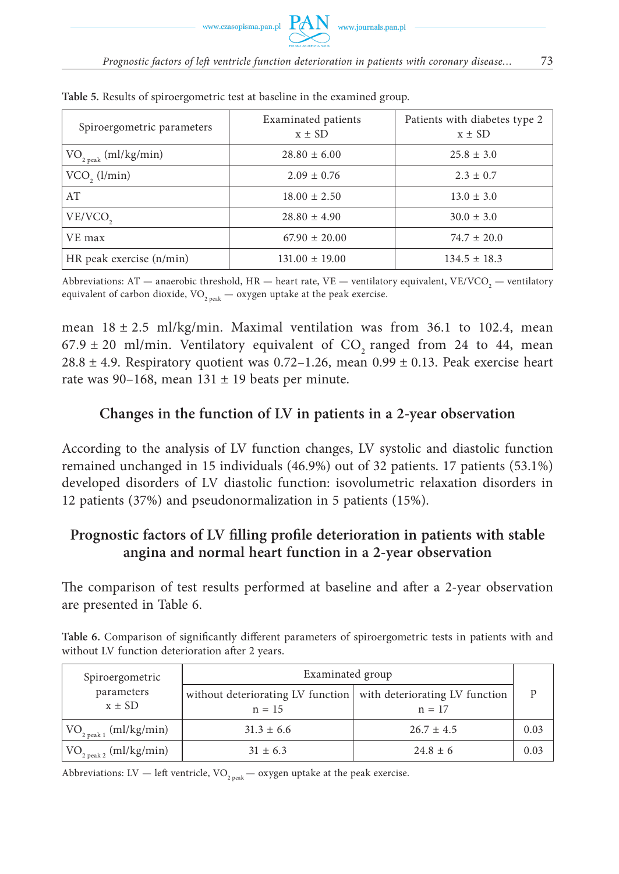| Spiroergometric parameters        | Examinated patients<br>$x \pm SD$ | Patients with diabetes type 2<br>$x \pm SD$ |
|-----------------------------------|-----------------------------------|---------------------------------------------|
| $\rm VO_{_{2\ peak}}$ (ml/kg/min) | $28.80 \pm 6.00$                  | $25.8 \pm 3.0$                              |
| $VCO$ , $(l/min)$                 | $2.09 \pm 0.76$                   | $2.3 \pm 0.7$                               |
| AT                                | $18.00 \pm 2.50$                  | $13.0 \pm 3.0$                              |
| VE/VCO <sub>2</sub>               | $28.80 \pm 4.90$                  | $30.0 \pm 3.0$                              |
| VE max                            | $67.90 \pm 20.00$                 | $74.7 \pm 20.0$                             |
| HR peak exercise (n/min)          | $131.00 \pm 19.00$                | $134.5 \pm 18.3$                            |

**Table 5.** Results of spiroergometric test at baseline in the examined group.

Abbreviations: AT — anaerobic threshold, HR — heart rate, VE — ventilatory equivalent, VE/VCO $_2$  — ventilatory equivalent of carbon dioxide,  $\rm VO_{2\, peak}$  — oxygen uptake at the peak exercise.

mean  $18 \pm 2.5$  ml/kg/min. Maximal ventilation was from 36.1 to 102.4, mean  $67.9 \pm 20$  ml/min. Ventilatory equivalent of CO<sub>2</sub> ranged from 24 to 44, mean 28.8  $\pm$  4.9. Respiratory quotient was 0.72–1.26, mean 0.99  $\pm$  0.13. Peak exercise heart rate was 90–168, mean  $131 \pm 19$  beats per minute.

# **Changes in the function of LV in patients in a 2-year observation**

According to the analysis of LV function changes, LV systolic and diastolic function remained unchanged in 15 individuals (46.9%) out of 32 patients. 17 patients (53.1%) developed disorders of LV diastolic function: isovolumetric relaxation disorders in 12 patients (37%) and pseudonormalization in 5 patients (15%).

# **Prognostic factors of LV filling profile deterioration in patients with stable angina and normal heart function in a 2-year observation**

The comparison of test results performed at baseline and after a 2-year observation are presented in Table 6.

Table 6. Comparison of significantly different parameters of spiroergometric tests in patients with and without LV function deterioration after 2 years.

| Spiroergometric                          | Examinated group                                                             |                |      |  |
|------------------------------------------|------------------------------------------------------------------------------|----------------|------|--|
| parameters<br>$x \pm SD$                 | without deteriorating LV function with deteriorating LV function<br>$n = 15$ | $n = 17$       |      |  |
| $\rm{VO}_{2\,\rm{peak}\,1}\ (ml/kg/min)$ | $31.3 \pm 6.6$                                                               | $26.7 \pm 4.5$ | 0.03 |  |
| $\rm{VO}_{2~peak~2}~(ml/kg/min)$         | $31 \pm 6.3$                                                                 | $24.8 \pm 6$   | 0.03 |  |

Abbreviations: LV — left ventricle, VO<sub>2 peak</sub> — oxygen uptake at the peak exercise.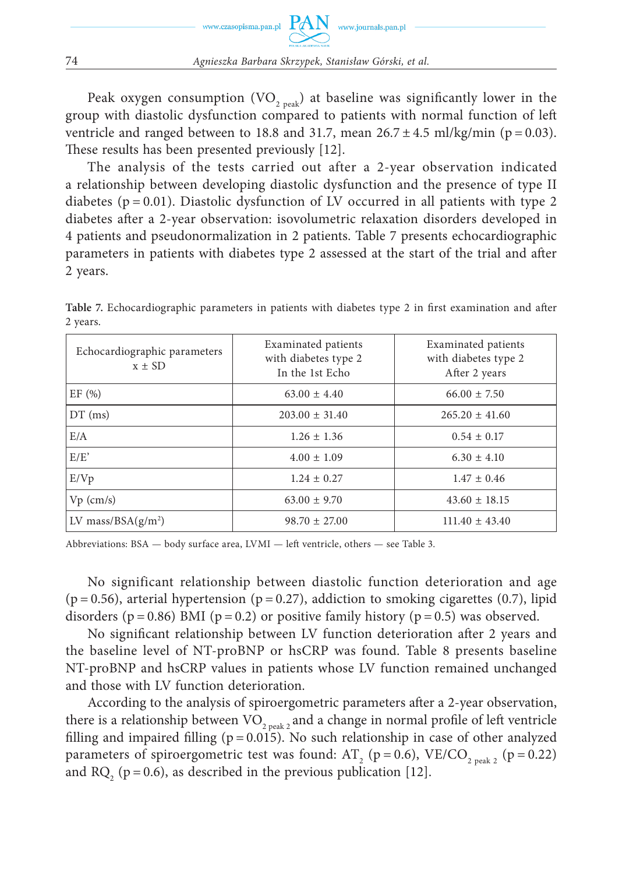Peak oxygen consumption  $(VO_{2,peak})$  at baseline was significantly lower in the group with diastolic dysfunction compared to patients with normal function of left ventricle and ranged between to 18.8 and 31.7, mean  $26.7 \pm 4.5$  ml/kg/min (p = 0.03). These results has been presented previously [12].

The analysis of the tests carried out after a 2-year observation indicated a relationship between developing diastolic dysfunction and the presence of type II diabetes ( $p = 0.01$ ). Diastolic dysfunction of LV occurred in all patients with type 2 diabetes after a 2-year observation: isovolumetric relaxation disorders developed in 4 patients and pseudonormalization in 2 patients. Table 7 presents echocardiographic parameters in patients with diabetes type 2 assessed at the start of the trial and after 2 years.

| Echocardiographic parameters<br>$x \pm SD$ | Examinated patients<br>with diabetes type 2<br>In the 1st Echo | Examinated patients<br>with diabetes type 2<br>After 2 years |
|--------------------------------------------|----------------------------------------------------------------|--------------------------------------------------------------|
| EF(%)                                      | $63.00 \pm 4.40$                                               | $66.00 \pm 7.50$                                             |
| $DT$ (ms)                                  | $203.00 \pm 31.40$                                             | $265.20 \pm 41.60$                                           |
| E/A                                        | $1.26 \pm 1.36$                                                | $0.54 \pm 0.17$                                              |
| E/E'                                       | $4.00 \pm 1.09$                                                | $6.30 \pm 4.10$                                              |
| E/Vp                                       | $1.24 \pm 0.27$                                                | $1.47 \pm 0.46$                                              |
| $Vp$ (cm/s)                                | $63.00 \pm 9.70$                                               | $43.60 \pm 18.15$                                            |
| LV mass/BSA $(g/m^2)$                      | $98.70 \pm 27.00$                                              | $111.40 \pm 43.40$                                           |

Table 7. Echocardiographic parameters in patients with diabetes type 2 in first examination and after 2 years.

Abbreviations: BSA — body surface area, LVMI — left ventricle, others — see Table 3.

No significant relationship between diastolic function deterioration and age  $(p = 0.56)$ , arterial hypertension  $(p = 0.27)$ , addiction to smoking cigarettes  $(0.7)$ , lipid disorders ( $p = 0.86$ ) BMI ( $p = 0.2$ ) or positive family history ( $p = 0.5$ ) was observed.

No significant relationship between LV function deterioration after 2 years and the baseline level of NT-proBNP or hsCRP was found. Table 8 presents baseline NT-proBNP and hsCRP values in patients whose LV function remained unchanged and those with LV function deterioration.

According to the analysis of spiroergometric parameters after a 2-year observation, there is a relationship between  $\rm VO_{2\ peak\ 2}$  and a change in normal profile of left ventricle filling and impaired filling ( $p = 0.015$ ). No such relationship in case of other analyzed parameters of spiroergometric test was found: AT<sub>2</sub> (p = 0.6), VE/CO<sub>2 peak 2</sub> (p = 0.22) and RQ<sub>2</sub> ( $p = 0.6$ ), as described in the previous publication [12].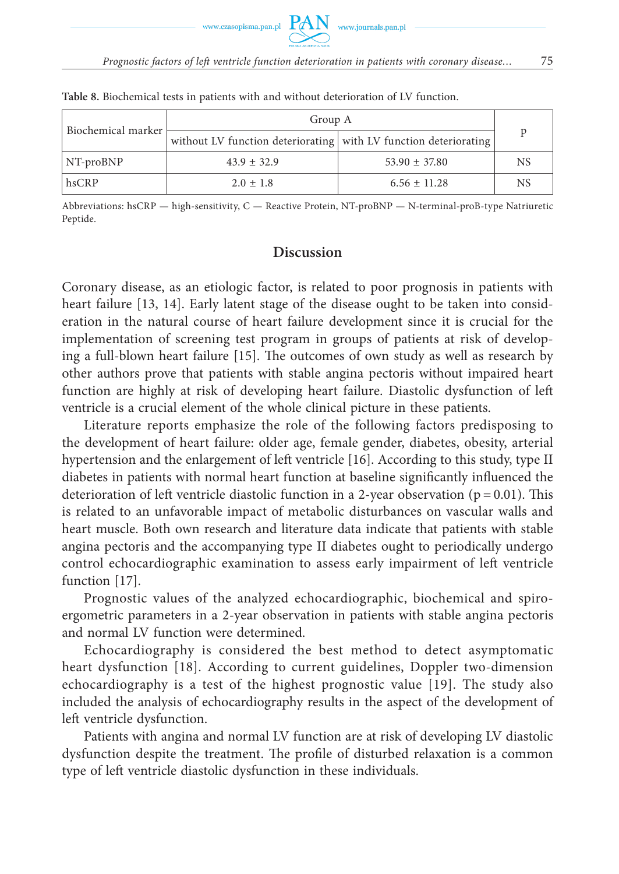| Biochemical marker | Group A                                                          |                   |           |  |
|--------------------|------------------------------------------------------------------|-------------------|-----------|--|
|                    | without LV function deteriorating with LV function deteriorating |                   |           |  |
| $\vert$ NT-proBNP  | $43.9 \pm 32.9$                                                  | $53.90 \pm 37.80$ | <b>NS</b> |  |
| hsCRP              | $2.0 \pm 1.8$                                                    | $6.56 \pm 11.28$  | <b>NS</b> |  |

**Table 8.** Biochemical tests in patients with and without deterioration of LV function.

Abbreviations: hsCRP — high-sensitivity, C — Reactive Protein, NT-proBNP — N-terminal-proB-type Natriuretic Peptide.

## **Discussion**

Coronary disease, as an etiologic factor, is related to poor prognosis in patients with heart failure [13, 14]. Early latent stage of the disease ought to be taken into consideration in the natural course of heart failure development since it is crucial for the implementation of screening test program in groups of patients at risk of developing a full-blown heart failure [15]. The outcomes of own study as well as research by other authors prove that patients with stable angina pectoris without impaired heart function are highly at risk of developing heart failure. Diastolic dysfunction of left ventricle is a crucial element of the whole clinical picture in these patients.

Literature reports emphasize the role of the following factors predisposing to the development of heart failure: older age, female gender, diabetes, obesity, arterial hypertension and the enlargement of left ventricle [16]. According to this study, type II diabetes in patients with normal heart function at baseline significantly influenced the deterioration of left ventricle diastolic function in a 2-year observation ( $p = 0.01$ ). This is related to an unfavorable impact of metabolic disturbances on vascular walls and heart muscle. Both own research and literature data indicate that patients with stable angina pectoris and the accompanying type II diabetes ought to periodically undergo control echocardiographic examination to assess early impairment of left ventricle function [17].

Prognostic values of the analyzed echocardiographic, biochemical and spiroergometric parameters in a 2-year observation in patients with stable angina pectoris and normal LV function were determined.

Echocardiography is considered the best method to detect asymptomatic heart dysfunction [18]. According to current guidelines, Doppler two-dimension echocardiography is a test of the highest prognostic value [19]. The study also included the analysis of echocardiography results in the aspect of the development of left ventricle dysfunction.

Patients with angina and normal LV function are at risk of developing LV diastolic dysfunction despite the treatment. The profile of disturbed relaxation is a common type of left ventricle diastolic dysfunction in these individuals.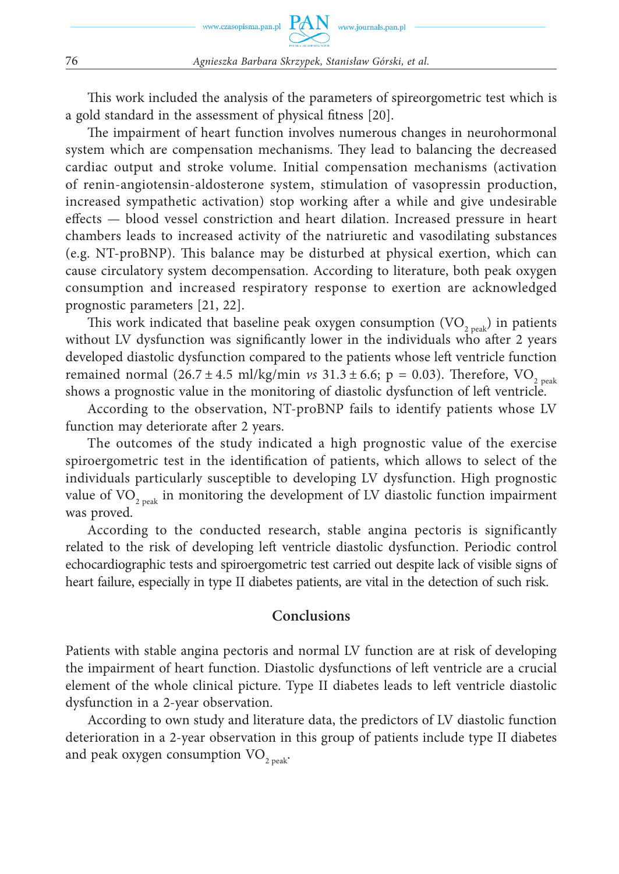This work included the analysis of the parameters of spireorgometric test which is a gold standard in the assessment of physical fitness [20].

The impairment of heart function involves numerous changes in neurohormonal system which are compensation mechanisms. They lead to balancing the decreased cardiac output and stroke volume. Initial compensation mechanisms (activation of renin-angiotensin-aldosterone system, stimulation of vasopressin production, increased sympathetic activation) stop working after a while and give undesirable effects — blood vessel constriction and heart dilation. Increased pressure in heart chambers leads to increased activity of the natriuretic and vasodilating substances (e.g. NT-proBNP). This balance may be disturbed at physical exertion, which can cause circulatory system decompensation. According to literature, both peak oxygen consumption and increased respiratory response to exertion are acknowledged prognostic parameters [21, 22].

This work indicated that baseline peak oxygen consumption  $(VO_{2,peak})$  in patients without LV dysfunction was significantly lower in the individuals who after 2 years developed diastolic dysfunction compared to the patients whose left ventricle function remained normal  $(26.7 \pm 4.5 \text{ ml/kg/min } vs \ 31.3 \pm 6.6; \ p = 0.03)$ . Therefore, VO<sub>2 peak</sub> shows a prognostic value in the monitoring of diastolic dysfunction of left ventricle.

According to the observation, NT-proBNP fails to identify patients whose LV function may deteriorate after 2 years.

The outcomes of the study indicated a high prognostic value of the exercise spiroergometric test in the identification of patients, which allows to select of the individuals particularly susceptible to developing LV dysfunction. High prognostic value of  $VO_{2, peak}$  in monitoring the development of LV diastolic function impairment was proved.

According to the conducted research, stable angina pectoris is significantly related to the risk of developing left ventricle diastolic dysfunction. Periodic control echocardiographic tests and spiroergometric test carried out despite lack of visible signs of heart failure, especially in type II diabetes patients, are vital in the detection of such risk.

# **Conclusions**

Patients with stable angina pectoris and normal LV function are at risk of developing the impairment of heart function. Diastolic dysfunctions of left ventricle are a crucial element of the whole clinical picture. Type II diabetes leads to left ventricle diastolic dysfunction in a 2-year observation.

According to own study and literature data, the predictors of LV diastolic function deterioration in a 2-year observation in this group of patients include type II diabetes and peak oxygen consumption  $VO_{2,peak}$ .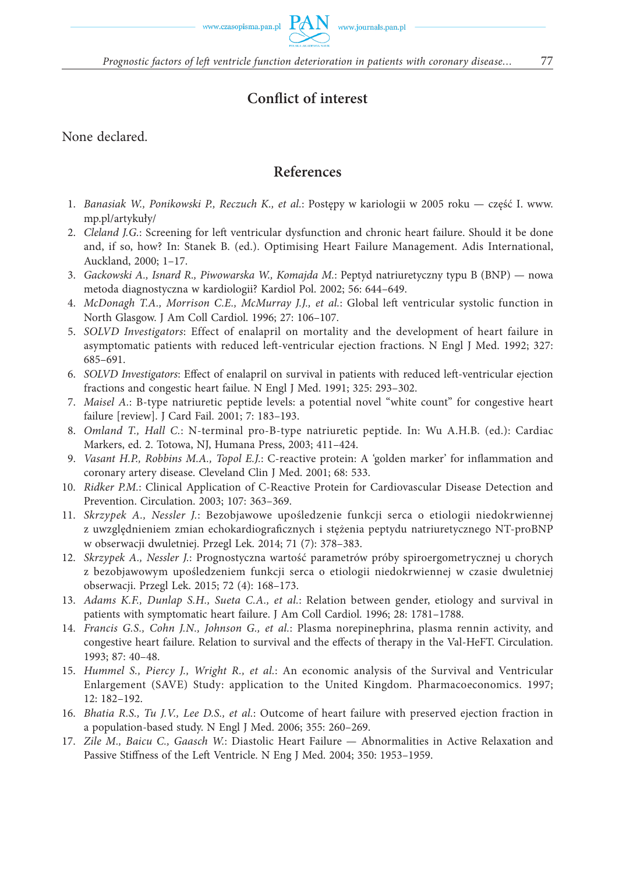# **Conflict of interest**

None declared.

# **References**

- 1. *Banasiak W., Ponikowski P., Reczuch K., et al.*: Postępy w kariologii w 2005 roku część I. www. mp.pl/artykuły/
- 2. *Cleland J.G.*: Screening for left ventricular dysfunction and chronic heart failure. Should it be done and, if so, how? In: Stanek B. (ed.). Optimising Heart Failure Management. Adis International, Auckland, 2000; 1–17.
- 3. *Gackowski A., Isnard R., Piwowarska W., Komajda M.*: Peptyd natriuretyczny typu B (BNP) nowa metoda diagnostyczna w kardiologii? Kardiol Pol. 2002; 56: 644–649.
- 4. *McDonagh T.A., Morrison C.E., McMurray J.J., et al.*: Global left ventricular systolic function in North Glasgow. J Am Coll Cardiol. 1996; 27: 106–107.
- 5. *SOLVD Investigators*: Effect of enalapril on mortality and the development of heart failure in asymptomatic patients with reduced left-ventricular ejection fractions. N Engl J Med. 1992; 327: 685–691.
- 6. *SOLVD Investigators*: Effect of enalapril on survival in patients with reduced left-ventricular ejection fractions and congestic heart failue. N Engl J Med. 1991; 325: 293–302.
- 7. *Maisel A.*: B-type natriuretic peptide levels: a potential novel "white count" for congestive heart failure [review]. J Card Fail. 2001; 7: 183–193.
- 8. *Omland T., Hall C.*: N-terminal pro-B-type natriuretic peptide. In: Wu A.H.B. (ed.): Cardiac Markers, ed. 2. Totowa, NJ, Humana Press, 2003; 411–424.
- 9. *Vasant H.P., Robbins M.A., Topol E.J.*: C-reactive protein: A 'golden marker' for inflammation and coronary artery disease. Cleveland Clin J Med. 2001; 68: 533.
- 10. *Ridker P.M.*: Clinical Application of C-Reactive Protein for Cardiovascular Disease Detection and Prevention. Circulation. 2003; 107: 363–369.
- 11. *Skrzypek A., Nessler J.*: Bezobjawowe upośledzenie funkcji serca o etiologii niedokrwiennej z uwzględnieniem zmian echokardiograficznych i stężenia peptydu natriuretycznego NT-proBNP w obserwacji dwuletniej. Przegl Lek. 2014; 71 (7): 378–383.
- 12. *Skrzypek A., Nessler J.*: Prognostyczna wartość parametrów próby spiroergometrycznej u chorych z bezobjawowym upośledzeniem funkcji serca o etiologii niedokrwiennej w czasie dwuletniej obserwacji. Przegl Lek. 2015; 72 (4): 168–173.
- 13. *Adams K.F., Dunlap S.H., Sueta C.A., et al.*: Relation between gender, etiology and survival in patients with symptomatic heart failure. J Am Coll Cardiol. 1996; 28: 1781–1788.
- 14. *Francis G.S., Cohn J.N., Johnson G., et al.*: Plasma norepinephrina, plasma rennin activity, and congestive heart failure. Relation to survival and the effects of therapy in the Val-HeFT. Circulation. 1993; 87: 40–48.
- 15. *Hummel S., Piercy J., Wright R., et al.*: An economic analysis of the Survival and Ventricular Enlargement (SAVE) Study: application to the United Kingdom. Pharmacoeconomics. 1997; 12: 182–192.
- 16. *Bhatia R.S., Tu J.V., Lee D.S., et al.*: Outcome of heart failure with preserved ejection fraction in a population-based study. N Engl J Med. 2006; 355: 260–269.
- 17. *Zile M., Baicu C., Gaasch W.*: Diastolic Heart Failure Abnormalities in Active Relaxation and Passive Stiffness of the Left Ventricle. N Eng J Med. 2004; 350: 1953-1959.